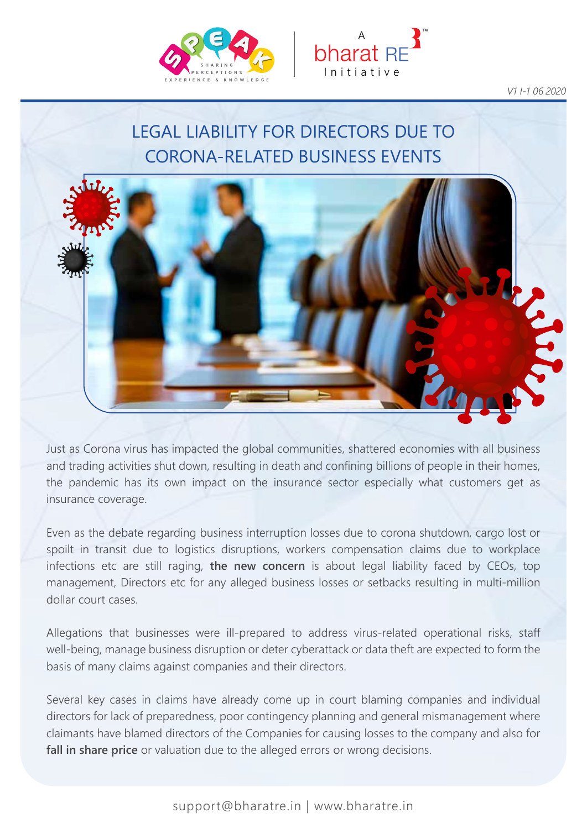



*V1 I-1 06 2020*

### LEGAL LIABILITY FOR DIRECTORS DUE TO CORONA-RELATED BUSINESS EVENTS



Just as Corona virus has impacted the global communities, shattered economies with all business and trading activities shut down, resulting in death and confining billions of people in their homes, the pandemic has its own impact on the insurance sector especially what customers get as insurance coverage.

Even as the debate regarding business interruption losses due to corona shutdown, cargo lost or spoilt in transit due to logistics disruptions, workers compensation claims due to workplace infections etc are still raging, **the new concern** is about legal liability faced by CEOs, top management, Directors etc for any alleged business losses or setbacks resulting in multi-million dollar court cases.

Allegations that businesses were ill-prepared to address virus-related operational risks, staff well-being, manage business disruption or deter cyberattack or data theft are expected to form the basis of many claims against companies and their directors.

Several key cases in claims have already come up in court blaming companies and individual directors for lack of preparedness, poor contingency planning and general mismanagement where claimants have blamed directors of the Companies for causing losses to the company and also for **fall in share price** or valuation due to the alleged errors or wrong decisions.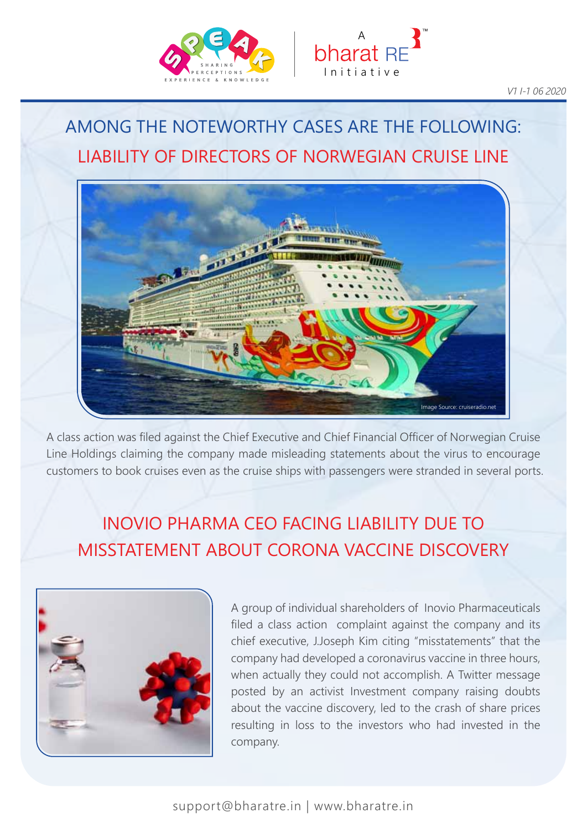



# LIABILITY OF DIRECTORS OF NORWEGIAN CRUISE LINE AMONG THE NOTEWORTHY CASES ARE THE FOLLOWING:



A class action was filed against the Chief Executive and Chief Financial Officer of Norwegian Cruise Line Holdings claiming the company made misleading statements about the virus to encourage customers to book cruises even as the cruise ships with passengers were stranded in several ports.

## INOVIO PHARMA CEO FACING LIABILITY DUE TO MISSTATEMENT ABOUT CORONA VACCINE DISCOVERY



A group of individual shareholders of Inovio Pharmaceuticals filed a class action complaint against the company and its chief executive, J.Joseph Kim citing "misstatements" that the company had developed a coronavirus vaccine in three hours, when actually they could not accomplish. A Twitter message posted by an activist Investment company raising doubts about the vaccine discovery, led to the crash of share prices resulting in loss to the investors who had invested in the company.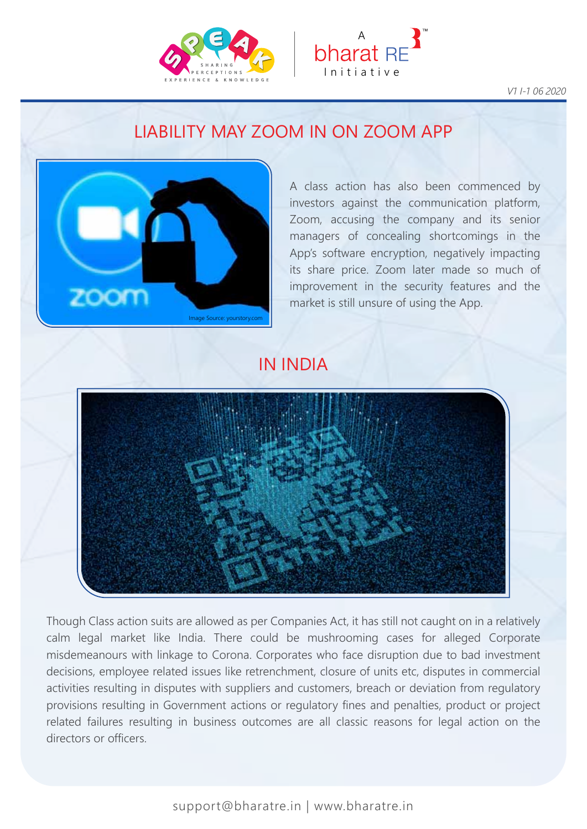



*V1 I-1 06 2020*

### LIABILITY MAY ZOOM IN ON ZOOM APP



A class action has also been commenced by investors against the communication platform, Zoom, accusing the company and its senior managers of concealing shortcomings in the App's software encryption, negatively impacting its share price. Zoom later made so much of improvement in the security features and the market is still unsure of using the App.

#### IN INDIA



Though Class action suits are allowed as per Companies Act, it has still not caught on in a relatively calm legal market like India. There could be mushrooming cases for alleged Corporate misdemeanours with linkage to Corona. Corporates who face disruption due to bad investment decisions, employee related issues like retrenchment, closure of units etc, disputes in commercial activities resulting in disputes with suppliers and customers, breach or deviation from regulatory provisions resulting in Government actions or regulatory fines and penalties, product or project related failures resulting in business outcomes are all classic reasons for legal action on the directors or officers.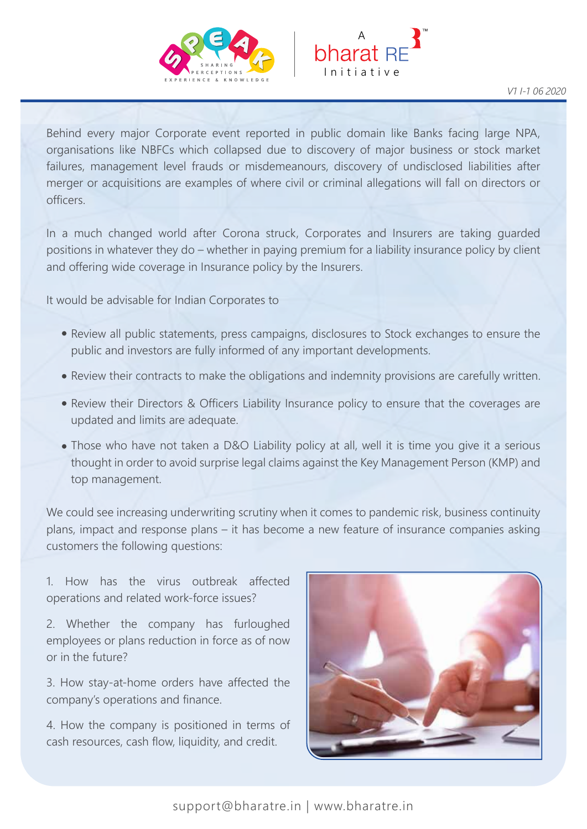



Behind every major Corporate event reported in public domain like Banks facing large NPA, organisations like NBFCs which collapsed due to discovery of major business or stock market failures, management level frauds or misdemeanours, discovery of undisclosed liabilities after merger or acquisitions are examples of where civil or criminal allegations will fall on directors or officers.

In a much changed world after Corona struck, Corporates and Insurers are taking guarded positions in whatever they do – whether in paying premium for a liability insurance policy by client and offering wide coverage in Insurance policy by the Insurers.

It would be advisable for Indian Corporates to

- Review all public statements, press campaigns, disclosures to Stock exchanges to ensure the public and investors are fully informed of any important developments.
- Review their contracts to make the obligations and indemnity provisions are carefully written.
- Review their Directors & Officers Liability Insurance policy to ensure that the coverages are updated and limits are adequate.
- Those who have not taken a D&O Liability policy at all, well it is time you give it a serious thought in order to avoid surprise legal claims against the Key Management Person (KMP) and top management.

We could see increasing underwriting scrutiny when it comes to pandemic risk, business continuity plans, impact and response plans – it has become a new feature of insurance companies asking customers the following questions:

1. How has the virus outbreak affected operations and related work-force issues?

2. Whether the company has furloughed employees or plans reduction in force as of now or in the future?

3. How stay-at-home orders have affected the company's operations and finance.

4. How the company is positioned in terms of cash resources, cash flow, liquidity, and credit.